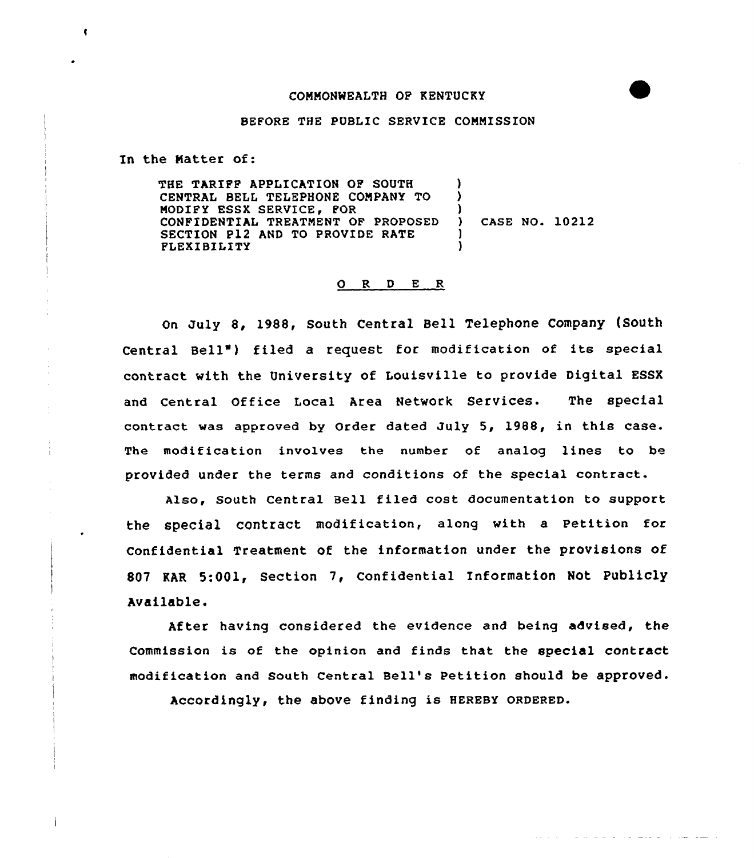## COMMONWEALTH OF KENTUCKY

## BEFORE THE PUBLIC SERVICE COMMISSION

In the Natter of:

 $\bullet$ 

THE TARIFF APPLICATION OF SOUTH CENTRAL BELL TELEPHONE COMPANY TO MODIFY ESSX SERVICE, FOR CONFIDENTIAL TREATMENT OF PROPOSED SECTION P12 AND TO PROVIDE RATE FLEXIBILITY ) )  $\lambda$ ) CASE NO. 10212 ) )

## 0 R <sup>D</sup> E <sup>R</sup>

On July 8, 1988, South Central Bell Telephone Company (South Central Bell") filed a request for modification of its special contract with the University of Louisville to provide Digital ESSX and Central Office Local Area Network Services. The special contract was approved by Order dated July 5, 1988, in this case. The modification involves the number of analog lines to be provided under the terms and conditions of the special contract.

Also, South Central Bell filed cost documentation to support the special contract modification, along with a Petition for Confidential Treatment of the information under the provisions of 807 KAR 5:001, Section 7, Confidential Information Not Publicly Available.

After having considered the evidence and being advised, the Commission is of the opinion and finds that the special contract modification and South Central Bell's Petition should be approved.

المستوا وللمرود والرابط والمواطن والرابط والمحافظ المتوارث والمراوي والمحاورة

Accordingly, the above finding is HEREBY oRDERED.